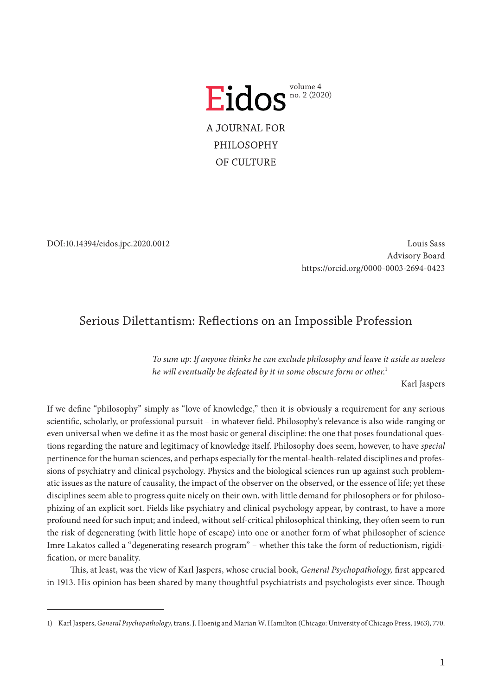

DOI:10.14394/eidos.jpc.2020.0012

Louis Sass Advisory Board <https://orcid.org/0000-0003-2694-0423>

## Serious Dilettantism: Reflections on an Impossible Profession

*To sum up: If anyone thinks he can exclude philosophy and leave it aside as useless he will eventually be defeated by it in some obscure form or other.*<sup>1</sup>

Karl Jaspers

If we define "philosophy" simply as "love of knowledge," then it is obviously a requirement for any serious scientific, scholarly, or professional pursuit – in whatever field. Philosophy's relevance is also wide-ranging or even universal when we define it as the most basic or general discipline: the one that poses foundational questions regarding the nature and legitimacy of knowledge itself. Philosophy does seem, however, to have *special* pertinence for the human sciences, and perhaps especially for the mental-health-related disciplines and professions of psychiatry and clinical psychology. Physics and the biological sciences run up against such problematic issues as the nature of causality, the impact of the observer on the observed, or the essence of life; yet these disciplines seem able to progress quite nicely on their own, with little demand for philosophers or for philosophizing of an explicit sort. Fields like psychiatry and clinical psychology appear, by contrast, to have a more profound need for such input; and indeed, without self-critical philosophical thinking, they often seem to run the risk of degenerating (with little hope of escape) into one or another form of what philosopher of science Imre Lakatos called a "degenerating research program" – whether this take the form of reductionism, rigidification, or mere banality.

This, at least, was the view of Karl Jaspers, whose crucial book, *General Psychopathology,* first appeared in 1913. His opinion has been shared by many thoughtful psychiatrists and psychologists ever since. Though

<sup>1)</sup> Karl Jaspers, *General Psychopathology*, trans. J. Hoenig and Marian W. Hamilton (Chicago: University of Chicago Press, 1963), 770.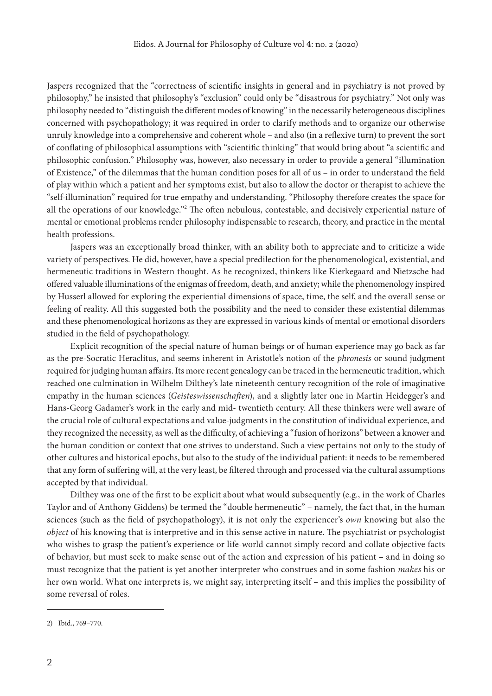Jaspers recognized that the "correctness of scientific insights in general and in psychiatry is not proved by philosophy," he insisted that philosophy's "exclusion" could only be "disastrous for psychiatry." Not only was philosophy needed to "distinguish the different modes of knowing" in the necessarily heterogeneous disciplines concerned with psychopathology; it was required in order to clarify methods and to organize our otherwise unruly knowledge into a comprehensive and coherent whole – and also (in a reflexive turn) to prevent the sort of conflating of philosophical assumptions with "scientific thinking" that would bring about "a scientific and philosophic confusion." Philosophy was, however, also necessary in order to provide a general "illumination of Existence," of the dilemmas that the human condition poses for all of us – in order to understand the field of play within which a patient and her symptoms exist, but also to allow the doctor or therapist to achieve the "self-illumination" required for true empathy and understanding. "Philosophy therefore creates the space for all the operations of our knowledge."<sup>2</sup> The often nebulous, contestable, and decisively experiential nature of mental or emotional problems render philosophy indispensable to research, theory, and practice in the mental health professions.

Jaspers was an exceptionally broad thinker, with an ability both to appreciate and to criticize a wide variety of perspectives. He did, however, have a special predilection for the phenomenological, existential, and hermeneutic traditions in Western thought. As he recognized, thinkers like Kierkegaard and Nietzsche had offered valuable illuminations of the enigmas of freedom, death, and anxiety; while the phenomenology inspired by Husserl allowed for exploring the experiential dimensions of space, time, the self, and the overall sense or feeling of reality. All this suggested both the possibility and the need to consider these existential dilemmas and these phenomenological horizons as they are expressed in various kinds of mental or emotional disorders studied in the field of psychopathology.

Explicit recognition of the special nature of human beings or of human experience may go back as far as the pre-Socratic Heraclitus, and seems inherent in Aristotle's notion of the *phronesis* or sound judgment required for judging human affairs. Its more recent genealogy can be traced in the hermeneutic tradition, which reached one culmination in Wilhelm Dilthey's late nineteenth century recognition of the role of imaginative empathy in the human sciences (*Geisteswissenschaften*), and a slightly later one in Martin Heidegger's and Hans-Georg Gadamer's work in the early and mid- twentieth century. All these thinkers were well aware of the crucial role of cultural expectations and value-judgments in the constitution of individual experience, and they recognized the necessity, as well as the difficulty, of achieving a "fusion of horizons" between a knower and the human condition or context that one strives to understand. Such a view pertains not only to the study of other cultures and historical epochs, but also to the study of the individual patient: it needs to be remembered that any form of suffering will, at the very least, be filtered through and processed via the cultural assumptions accepted by that individual.

Dilthey was one of the first to be explicit about what would subsequently (e.g., in the work of Charles Taylor and of Anthony Giddens) be termed the "double hermeneutic" – namely, the fact that, in the human sciences (such as the field of psychopathology), it is not only the experiencer's *own* knowing but also the *object* of his knowing that is interpretive and in this sense active in nature. The psychiatrist or psychologist who wishes to grasp the patient's experience or life-world cannot simply record and collate objective facts of behavior, but must seek to make sense out of the action and expression of his patient – and in doing so must recognize that the patient is yet another interpreter who construes and in some fashion *makes* his or her own world. What one interprets is, we might say, interpreting itself – and this implies the possibility of some reversal of roles.

<sup>2)</sup> Ibid., 769–770.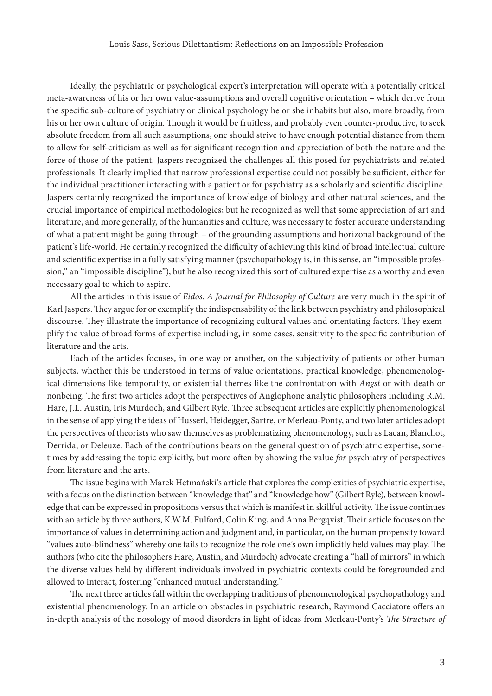Ideally, the psychiatric or psychological expert's interpretation will operate with a potentially critical meta-awareness of his or her own value-assumptions and overall cognitive orientation – which derive from the specific sub-culture of psychiatry or clinical psychology he or she inhabits but also, more broadly, from his or her own culture of origin. Though it would be fruitless, and probably even counter-productive, to seek absolute freedom from all such assumptions, one should strive to have enough potential distance from them to allow for self-criticism as well as for significant recognition and appreciation of both the nature and the force of those of the patient. Jaspers recognized the challenges all this posed for psychiatrists and related professionals. It clearly implied that narrow professional expertise could not possibly be sufficient, either for the individual practitioner interacting with a patient or for psychiatry as a scholarly and scientific discipline. Jaspers certainly recognized the importance of knowledge of biology and other natural sciences, and the crucial importance of empirical methodologies; but he recognized as well that some appreciation of art and literature, and more generally, of the humanities and culture, was necessary to foster accurate understanding of what a patient might be going through – of the grounding assumptions and horizonal background of the patient's life-world. He certainly recognized the difficulty of achieving this kind of broad intellectual culture and scientific expertise in a fully satisfying manner (psychopathology is, in this sense, an "impossible profession," an "impossible discipline"), but he also recognized this sort of cultured expertise as a worthy and even necessary goal to which to aspire.

All the articles in this issue of *Eidos. A Journal for Philosophy of Culture* are very much in the spirit of Karl Jaspers. They argue for or exemplify the indispensability of the link between psychiatry and philosophical discourse. They illustrate the importance of recognizing cultural values and orientating factors. They exemplify the value of broad forms of expertise including, in some cases, sensitivity to the specific contribution of literature and the arts.

Each of the articles focuses, in one way or another, on the subjectivity of patients or other human subjects, whether this be understood in terms of value orientations, practical knowledge, phenomenological dimensions like temporality, or existential themes like the confrontation with *Angst* or with death or nonbeing. The first two articles adopt the perspectives of Anglophone analytic philosophers including R.M. Hare, J.L. Austin, Iris Murdoch, and Gilbert Ryle. Three subsequent articles are explicitly phenomenological in the sense of applying the ideas of Husserl, Heidegger, Sartre, or Merleau-Ponty, and two later articles adopt the perspectives of theorists who saw themselves as problematizing phenomenology, such as Lacan, Blanchot, Derrida, or Deleuze. Each of the contributions bears on the general question of psychiatric expertise, sometimes by addressing the topic explicitly, but more often by showing the value *for* psychiatry of perspectives from literature and the arts.

The issue begins with Marek Hetmański's article that explores the complexities of psychiatric expertise, with a focus on the distinction between "knowledge that" and "knowledge how" (Gilbert Ryle), between knowledge that can be expressed in propositions versus that which is manifest in skillful activity. The issue continues with an article by three authors, K.W.M. Fulford, Colin King, and Anna Bergqvist. Their article focuses on the importance of values in determining action and judgment and, in particular, on the human propensity toward "values auto-blindness" whereby one fails to recognize the role one's own implicitly held values may play. The authors (who cite the philosophers Hare, Austin, and Murdoch) advocate creating a "hall of mirrors" in which the diverse values held by different individuals involved in psychiatric contexts could be foregrounded and allowed to interact, fostering "enhanced mutual understanding."

The next three articles fall within the overlapping traditions of phenomenological psychopathology and existential phenomenology. In an article on obstacles in psychiatric research, Raymond Cacciatore offers an in-depth analysis of the nosology of mood disorders in light of ideas from Merleau-Ponty's *The Structure of*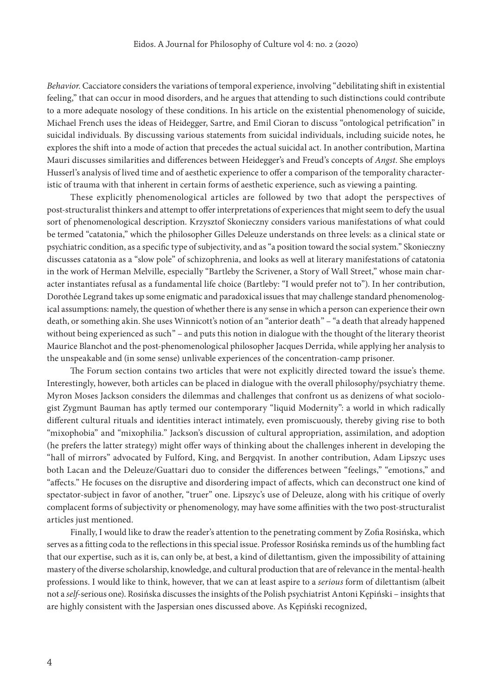*Behavior.* Cacciatore considers the variations of temporal experience, involving "debilitating shift in existential feeling," that can occur in mood disorders, and he argues that attending to such distinctions could contribute to a more adequate nosology of these conditions. In his article on the existential phenomenology of suicide, Michael French uses the ideas of Heidegger, Sartre, and Emil Cioran to discuss "ontological petrification" in suicidal individuals. By discussing various statements from suicidal individuals, including suicide notes, he explores the shift into a mode of action that precedes the actual suicidal act. In another contribution, Martina Mauri discusses similarities and differences between Heidegger's and Freud's concepts of *Angst*. She employs Husserl's analysis of lived time and of aesthetic experience to offer a comparison of the temporality characteristic of trauma with that inherent in certain forms of aesthetic experience, such as viewing a painting.

These explicitly phenomenological articles are followed by two that adopt the perspectives of post-structuralist thinkers and attempt to offer interpretations of experiences that might seem to defy the usual sort of phenomenological description. Krzysztof Skonieczny considers various manifestations of what could be termed "catatonia," which the philosopher Gilles Deleuze understands on three levels: as a clinical state or psychiatric condition, as a specific type of subjectivity, and as "a position toward the social system." Skonieczny discusses catatonia as a "slow pole" of schizophrenia, and looks as well at literary manifestations of catatonia in the work of Herman Melville, especially "Bartleby the Scrivener, a Story of Wall Street," whose main character instantiates refusal as a fundamental life choice (Bartleby: "I would prefer not to"). In her contribution, Dorothée Legrand takes up some enigmatic and paradoxical issues that may challenge standard phenomenological assumptions: namely, the question of whether there is any sense in which a person can experience their own death, or something akin. She uses Winnicott's notion of an "anterior death" – "a death that already happened without being experienced as such" – and puts this notion in dialogue with the thought of the literary theorist Maurice Blanchot and the post-phenomenological philosopher Jacques Derrida, while applying her analysis to the unspeakable and (in some sense) unlivable experiences of the concentration-camp prisoner.

The Forum section contains two articles that were not explicitly directed toward the issue's theme. Interestingly, however, both articles can be placed in dialogue with the overall philosophy/psychiatry theme. Myron Moses Jackson considers the dilemmas and challenges that confront us as denizens of what sociologist Zygmunt Bauman has aptly termed our contemporary "liquid Modernity": a world in which radically different cultural rituals and identities interact intimately, even promiscuously, thereby giving rise to both "mixophobia" and "mixophilia." Jackson's discussion of cultural appropriation, assimilation, and adoption (he prefers the latter strategy) might offer ways of thinking about the challenges inherent in developing the "hall of mirrors" advocated by Fulford, King, and Bergqvist. In another contribution, Adam Lipszyc uses both Lacan and the Deleuze/Guattari duo to consider the differences between "feelings," "emotions," and "affects." He focuses on the disruptive and disordering impact of affects, which can deconstruct one kind of spectator-subject in favor of another, "truer" one. Lipszyc's use of Deleuze, along with his critique of overly complacent forms of subjectivity or phenomenology, may have some affinities with the two post-structuralist articles just mentioned.

Finally, I would like to draw the reader's attention to the penetrating comment by Zofia Rosińska, which serves as a fitting coda to the reflections in this special issue. Professor Rosińska reminds us of the humbling fact that our expertise, such as it is, can only be, at best, a kind of dilettantism, given the impossibility of attaining mastery of the diverse scholarship, knowledge, and cultural production that are of relevance in the mental-health professions. I would like to think, however, that we can at least aspire to a *serious* form of dilettantism (albeit not a *self*-serious one). Rosińska discusses the insights of the Polish psychiatrist Antoni Kępiński – insights that are highly consistent with the Jaspersian ones discussed above. As Kępiński recognized,